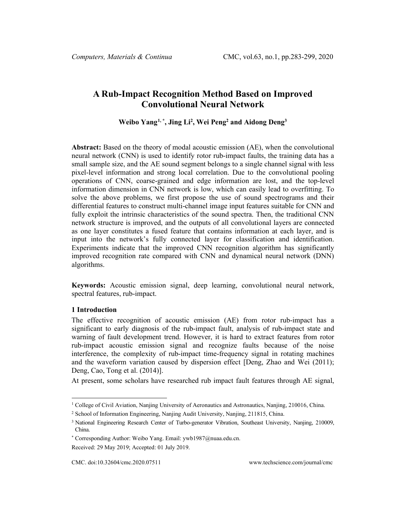# **A Rub-Impact Recognition Method Based on Improved Convolutional Neural Network**

**Weibo Yang[1](#page-0-0), \* , Jing Li2 , Wei Peng2 and Aidong Deng3**

**Abstract:** Based on the theory of modal acoustic emission (AE), when the convolutional neural network (CNN) is used to identify rotor rub-impact faults, the training data has a small sample size, and the AE sound segment belongs to a single channel signal with less pixel-level information and strong local correlation. Due to the convolutional pooling operations of CNN, coarse-grained and edge information are lost, and the top-level information dimension in CNN network is low, which can easily lead to overfitting. To solve the above problems, we first propose the use of sound spectrograms and their differential features to construct multi-channel image input features suitable for CNN and fully exploit the intrinsic characteristics of the sound spectra. Then, the traditional CNN network structure is improved, and the outputs of all convolutional layers are connected as one layer constitutes a fused feature that contains information at each layer, and is input into the network's fully connected layer for classification and identification. Experiments indicate that the improved CNN recognition algorithm has significantly improved recognition rate compared with CNN and dynamical neural network (DNN) algorithms.

**Keywords:** Acoustic emission signal, deep learning, convolutional neural network, spectral features, rub-impact.

### **1 Introduction**

The effective recognition of acoustic emission (AE) from rotor rub-impact has a significant to early diagnosis of the rub-impact fault, analysis of rub-impact state and warning of fault development trend. However, it is hard to extract features from rotor rub-impact acoustic emission signal and recognize faults because of the noise interference, the complexity of rub-impact time-frequency signal in rotating machines and the waveform variation caused by dispersion effect [Deng, Zhao and Wei (2011); Deng, Cao, Tong et al. (2014)].

At present, some scholars have researched rub impact fault features through AE signal,

<span id="page-0-0"></span><sup>&</sup>lt;sup>1</sup> College of Civil Aviation, Nanjing University of Aeronautics and Astronautics, Nanjing, 210016, China.

<sup>2</sup> School of Information Engineering, Nanjing Audit University, Nanjing, 211815, China.

<sup>&</sup>lt;sup>3</sup> National Engineering Research Center of Turbo-generator Vibration, Southeast University, Nanjing, 210009, China.

<sup>\*</sup> Corresponding Author: Weibo Yang. Email: ywb1987@nuaa.edu.cn.

Received: 29 May 2019; Accepted: 01 July 2019.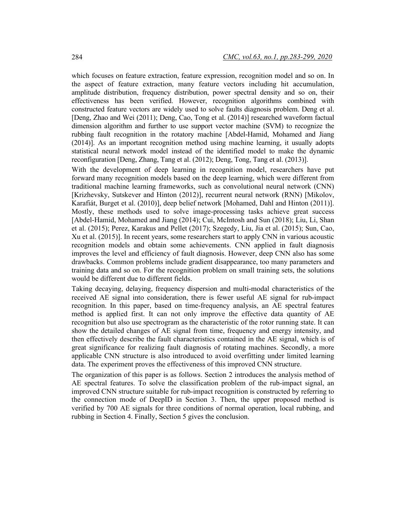which focuses on feature extraction, feature expression, recognition model and so on. In the aspect of feature extraction, many feature vectors including hit accumulation, amplitude distribution, frequency distribution, power spectral density and so on, their effectiveness has been verified. However, recognition algorithms combined with constructed feature vectors are widely used to solve faults diagnosis problem. Deng et al. [Deng, Zhao and Wei (2011); Deng, Cao, Tong et al. (2014)] researched waveform factual dimension algorithm and further to use support vector machine (SVM) to recognize the rubbing fault recognition in the rotatory machine [Abdel-Hamid, Mohamed and Jiang (2014)]. As an important recognition method using machine learning, it usually adopts statistical neural network model instead of the identified model to make the dynamic reconfiguration [Deng, Zhang, Tang et al. (2012); Deng, Tong, Tang et al. (2013)].

With the development of deep learning in recognition model, researchers have put forward many recognition models based on the deep learning, which were different from traditional machine learning frameworks, such as convolutional neural network (CNN) [Krizhevsky, Sutskever and Hinton (2012)], recurrent neural network (RNN) [Mikolov, Karafiát, Burget et al. (2010)], deep belief network [Mohamed, Dahl and Hinton (2011)]. Mostly, these methods used to solve image-processing tasks achieve great success [Abdel-Hamid, Mohamed and Jiang (2014); Cui, McIntosh and Sun (2018); Liu, Li, Shan et al. (2015); Perez, Karakus and Pellet (2017); Szegedy, Liu, Jia et al. (2015); Sun, Cao, Xu et al. (2015)]. In recent years, some researchers start to apply CNN in various acoustic recognition models and obtain some achievements. CNN applied in fault diagnosis improves the level and efficiency of fault diagnosis. However, deep CNN also has some drawbacks. Common problems include gradient disappearance, too many parameters and training data and so on. For the recognition problem on small training sets, the solutions would be different due to different fields.

Taking decaying, delaying, frequency dispersion and multi-modal characteristics of the received AE signal into consideration, there is fewer useful AE signal for rub-impact recognition. In this paper, based on time-frequency analysis, an AE spectral features method is applied first. It can not only improve the effective data quantity of AE recognition but also use spectrogram as the characteristic of the rotor running state. It can show the detailed changes of AE signal from time, frequency and energy intensity, and then effectively describe the fault characteristics contained in the AE signal, which is of great significance for realizing fault diagnosis of rotating machines. Secondly, a more applicable CNN structure is also introduced to avoid overfitting under limited learning data. The experiment proves the effectiveness of this improved CNN structure.

The organization of this paper is as follows. Section 2 introduces the analysis method of AE spectral features. To solve the classification problem of the rub-impact signal, an improved CNN structure suitable for rub-impact recognition is constructed by referring to the connection mode of DeepID in Section 3. Then, the upper proposed method is verified by 700 AE signals for three conditions of normal operation, local rubbing, and rubbing in Section 4. Finally, Section 5 gives the conclusion.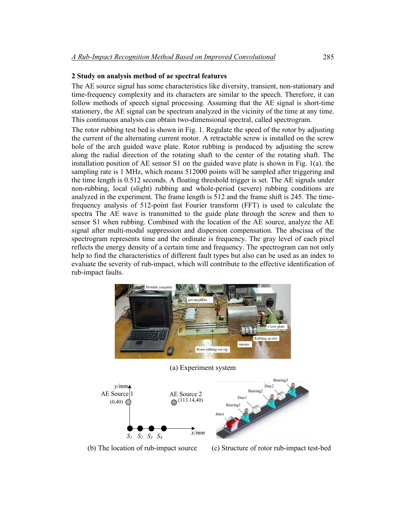### **2 Study on analysis method of ae spectral features**

The AE source signal has some characteristics like diversity, transient, non-stationary and time-frequency complexity and its characters are similar to the speech. Therefore, it can follow methods of speech signal processing. Assuming that the AE signal is short-time stationery, the AE signal can be spectrum analyzed in the vicinity of the time at any time. This continuous analysis can obtain two-dimensional spectral, called spectrogram.

The rotor rubbing test bed is shown in Fig. 1. Regulate the speed of the rotor by adjusting the current of the alternating current motor. A retractable screw is installed on the screw hole of the arch guided wave plate. Rotor rubbing is produced by adjusting the screw along the radial direction of the rotating shaft to the center of the rotating shaft. The installation position of AE sensor S1 on the guided wave plate is shown in Fig. 1(a). the sampling rate is 1 MHz, which means 512000 points will be sampled after triggering and the time length is 0.512 seconds. A floating threshold trigger is set. The AE signals under non-rubbing, local (slight) rubbing and whole-period (severe) rubbing conditions are analyzed in the experiment. The frame length is 512 and the frame shift is 245. The timefrequency analysis of 512-point fast Fourier transform (FFT) is used to calculate the spectra The AE wave is transmitted to the guide plate through the screw and then to sensor S1 when rubbing. Combined with the location of the AE source, analyze the AE signal after multi-modal suppression and dispersion compensation. The abscissa of the spectrogram represents time and the ordinate is frequency. The gray level of each pixel reflects the energy density of a certain time and frequency. The spectrogram can not only help to find the characteristics of different fault types but also can be used as an index to evaluate the severity of rub-impact, which will contribute to the effective identification of rub-impact faults.



(a) Experiment system



(b) The location of rub-impact source (c) Structure of rotor rub-impact test-bed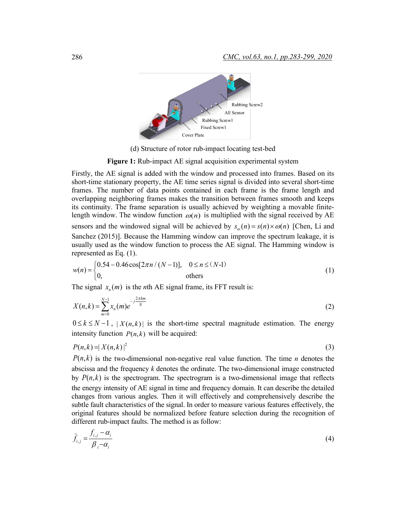

(d) Structure of rotor rub-impact locating test-bed

**Figure 1:** Rub-impact AE signal acquisition experimental system

Firstly, the AE signal is added with the window and processed into frames. Based on its short-time stationary property, the AE time series signal is divided into several short-time frames. The number of data points contained in each frame is the frame length and overlapping neighboring frames makes the transition between frames smooth and keeps its continuity. The frame separation is usually achieved by weighting a movable finitelength window. The window function  $\omega(n)$  is multiplied with the signal received by AE sensors and the windowed signal will be achieved by  $s_n(n) = s(n) \times \omega(n)$  [Chen, Li and Sanchez (2015)]. Because the Hamming window can improve the spectrum leakage, it is usually used as the window function to process the AE signal. The Hamming window is represented as Eq. (1).

$$
w(n) = \begin{cases} 0.54 - 0.46 \cos[2\pi n / (N-1)], & 0 \le n \le (N-1) \\ 0, & \text{others} \end{cases}
$$
 (1)

The signal  $x_n(m)$  is the *n*th AE signal frame, its FFT result is:

$$
X(n,k) = \sum_{m=0}^{N-1} x_n(m)e^{-j\frac{2\pi km}{N}}
$$
 (2)

 $0 \le k \le N-1$ ,  $|X(n,k)|$  is the short-time spectral magnitude estimation. The energy intensity function  $P(n, k)$  will be acquired:

$$
P(n,k) = |X(n,k)|^2 \tag{3}
$$

 $P(n, k)$  is the two-dimensional non-negative real value function. The time *n* denotes the abscissa and the frequency *k* denotes the ordinate. The two-dimensional image constructed by  $P(n,k)$  is the spectrogram. The spectrogram is a two-dimensional image that reflects the energy intensity of AE signal in time and frequency domain. It can describe the detailed changes from various angles. Then it will effectively and comprehensively describe the subtle fault characteristics of the signal. In order to measure various features effectively, the original features should be normalized before feature selection during the recognition of different rub-impact faults. The method is as follow:

$$
\tilde{f}_{i,j} = \frac{f_{i,j} - \alpha_i}{\beta_i - \alpha_i} \tag{4}
$$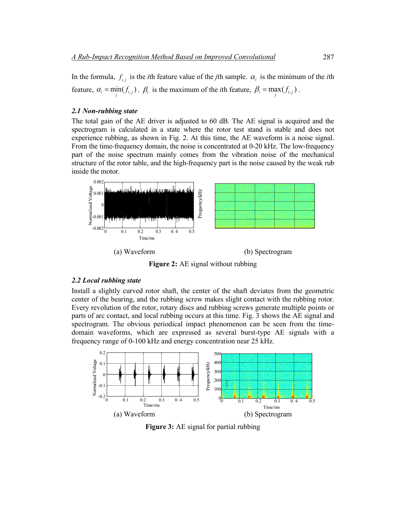In the formula,  $f_{i}$  is the *i*th feature value of the *j*th sample.  $\alpha_i$  is the minimum of the *i*th feature,  $\alpha_i = \min_j(f_{i,j})$ .  $\beta_i$  is the maximum of the *i*th feature,  $\beta_i = \max_j(f_{i,j})$ .

### *2.1 Non-rubbing state*

The total gain of the AE driver is adjusted to 60 dB. The AE signal is acquired and the spectrogram is calculated in a state where the rotor test stand is stable and does not experience rubbing, as shown in Fig. 2. At this time, the AE waveform is a noise signal. From the time-frequency domain, the noise is concentrated at 0-20 kHz. The low-frequency part of the noise spectrum mainly comes from the vibration noise of the mechanical structure of the rotor table, and the high-frequency part is the noise caused by the weak rub inside the motor.



**Figure 2:** AE signal without rubbing

## *2.2 Local rubbing state*

Install a slightly curved rotor shaft, the center of the shaft deviates from the geometric center of the bearing, and the rubbing screw makes slight contact with the rubbing rotor. Every revolution of the rotor, rotary discs and rubbing screws generate multiple points or parts of arc contact, and local rubbing occurs at this time. Fig. 3 shows the AE signal and spectrogram. The obvious periodical impact phenomenon can be seen from the timedomain waveforms, which are expressed as several burst-type AE signals with a frequency range of 0-100 kHz and energy concentration near 25 kHz.



**Figure 3:** AE signal for partial rubbing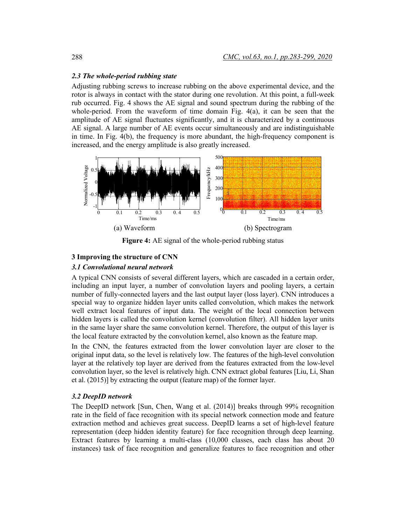# *2.3 The whole-period rubbing state*

Adjusting rubbing screws to increase rubbing on the above experimental device, and the rotor is always in contact with the stator during one revolution. At this point, a full-week rub occurred. Fig. 4 shows the AE signal and sound spectrum during the rubbing of the whole-period. From the waveform of time domain Fig. 4(a), it can be seen that the amplitude of AE signal fluctuates significantly, and it is characterized by a continuous AE signal. A large number of AE events occur simultaneously and are indistinguishable in time. In Fig. 4(b), the frequency is more abundant, the high-frequency component is increased, and the energy amplitude is also greatly increased.



Figure 4: AE signal of the whole-period rubbing status

# **3 Improving the structure of CNN**

# *3.1 Convolutional neural network*

A typical CNN consists of several different layers, which are cascaded in a certain order, including an input layer, a number of convolution layers and pooling layers, a certain number of fully-connected layers and the last output layer (loss layer). CNN introduces a special way to organize hidden layer units called convolution, which makes the network well extract local features of input data. The weight of the local connection between hidden layers is called the convolution kernel (convolution filter). All hidden layer units in the same layer share the same convolution kernel. Therefore, the output of this layer is the local feature extracted by the convolution kernel, also known as the feature map.

In the CNN, the features extracted from the lower convolution layer are closer to the original input data, so the level is relatively low. The features of the high-level convolution layer at the relatively top layer are derived from the features extracted from the low-level convolution layer, so the level is relatively high. CNN extract global features [Liu, Li, Shan et al. (2015)] by extracting the output (feature map) of the former layer.

# *3.2 DeepID network*

The DeepID network [Sun, Chen, Wang et al. (2014)] breaks through 99% recognition rate in the field of face recognition with its special network connection mode and feature extraction method and achieves great success. DeepID learns a set of high-level feature representation (deep hidden identity feature) for face recognition through deep learning. Extract features by learning a multi-class (10,000 classes, each class has about 20 instances) task of face recognition and generalize features to face recognition and other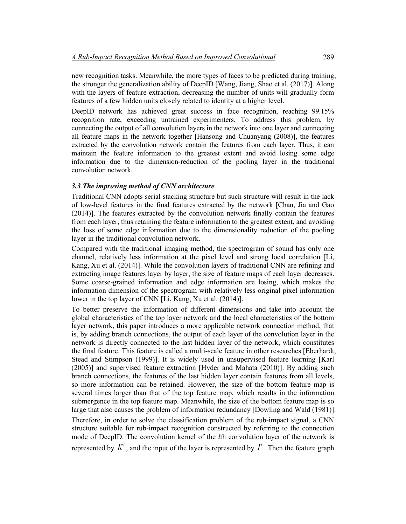new recognition tasks. Meanwhile, the more types of faces to be predicted during training, the stronger the generalization ability of DeepID [Wang, Jiang, Shao et al. (2017)]. Along with the layers of feature extraction, decreasing the number of units will gradually form features of a few hidden units closely related to identity at a higher level.

DeepID network has achieved great success in face recognition, reaching 99.15% recognition rate, exceeding untrained experimenters. To address this problem, by connecting the output of all convolution layers in the network into one layer and connecting all feature maps in the network together [Hansong and Chuanyang (2008)], the features extracted by the convolution network contain the features from each layer. Thus, it can maintain the feature information to the greatest extent and avoid losing some edge information due to the dimension-reduction of the pooling layer in the traditional convolution network.

# *3.3 The improving method of CNN architecture*

Traditional CNN adopts serial stacking structure but such structure will result in the lack of low-level features in the final features extracted by the network [Chan, Jia and Gao (2014)]. The features extracted by the convolution network finally contain the features from each layer, thus retaining the feature information to the greatest extent, and avoiding the loss of some edge information due to the dimensionality reduction of the pooling layer in the traditional convolution network.

Compared with the traditional imaging method, the spectrogram of sound has only one channel, relatively less information at the pixel level and strong local correlation [Li, Kang, Xu et al. (2014)]. While the convolution layers of traditional CNN are refining and extracting image features layer by layer, the size of feature maps of each layer decreases. Some coarse-grained information and edge information are losing, which makes the information dimension of the spectrogram with relatively less original pixel information lower in the top layer of CNN [Li, Kang, Xu et al. (2014)].

To better preserve the information of different dimensions and take into account the global characteristics of the top layer network and the local characteristics of the bottom layer network, this paper introduces a more applicable network connection method, that is, by adding branch connections, the output of each layer of the convolution layer in the network is directly connected to the last hidden layer of the network, which constitutes the final feature. This feature is called a multi-scale feature in other researches [Eberhardt, Stead and Stimpson (1999)]. It is widely used in unsupervised feature learning [Karl (2005)] and supervised feature extraction [Hyder and Mahata (2010)]. By adding such branch connections, the features of the last hidden layer contain features from all levels, so more information can be retained. However, the size of the bottom feature map is several times larger than that of the top feature map, which results in the information submergence in the top feature map. Meanwhile, the size of the bottom feature map is so large that also causes the problem of information redundancy [Dowling and Wald (1981)].

Therefore, in order to solve the classification problem of the rub-impact signal, a CNN structure suitable for rub-impact recognition constructed by referring to the connection mode of DeepID. The convolution kernel of the *l*th convolution layer of the network is represented by  $K^l$ , and the input of the layer is represented by  $I^l$ . Then the feature graph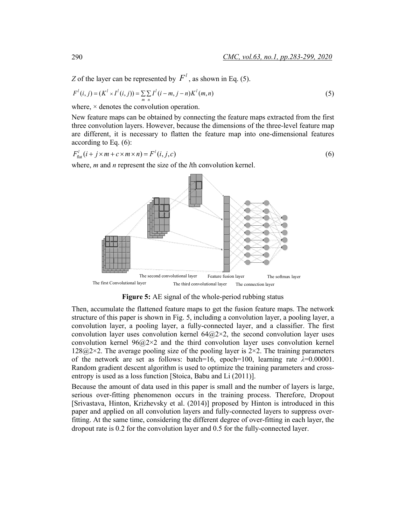*Z* of the layer can be represented by  $F^l$ , as shown in Eq. (5).

$$
F^{l}(i, j) = (K^{l} \times I^{l}(i, j)) = \sum_{m} \sum_{n} I^{l}(i - m, j - n)K^{l}(m, n)
$$
\n(5)

where,  $\times$  denotes the convolution operation.

New feature maps can be obtained by connecting the feature maps extracted from the first three convolution layers. However, because the dimensions of the three-level feature map are different, it is necessary to flatten the feature map into one-dimensional features according to Eq. (6):

$$
F_{\text{flat}}^l(i + j \times m + c \times m \times n) = F^l(i, j, c)
$$
\n
$$
(6)
$$

where, *m* and *n* represent the size of the *l*th convolution kernel.



**Figure 5:** AE signal of the whole-period rubbing status

Then, accumulate the flattened feature maps to get the fusion feature maps. The network structure of this paper is shown in Fig. 5, including a convolution layer, a pooling layer, a convolution layer, a pooling layer, a fully-connected layer, and a classifier. The first convolution layer uses convolution kernel  $64@2\times2$ , the second convolution layer uses convolution kernel  $96@2\times2$  and the third convolution layer uses convolution kernel  $128@2\times2$ . The average pooling size of the pooling layer is  $2\times2$ . The training parameters of the network are set as follows: batch=16, epoch=100, learning rate  $\lambda$ =0.00001. Random gradient descent algorithm is used to optimize the training parameters and crossentropy is used as a loss function [Stoica, Babu and Li (2011)].

Because the amount of data used in this paper is small and the number of layers is large, serious over-fitting phenomenon occurs in the training process. Therefore, Dropout [Srivastava, Hinton, Krizhevsky et al. (2014)] proposed by Hinton is introduced in this paper and applied on all convolution layers and fully-connected layers to suppress overfitting. At the same time, considering the different degree of over-fitting in each layer, the dropout rate is 0.2 for the convolution layer and 0.5 for the fully-connected layer.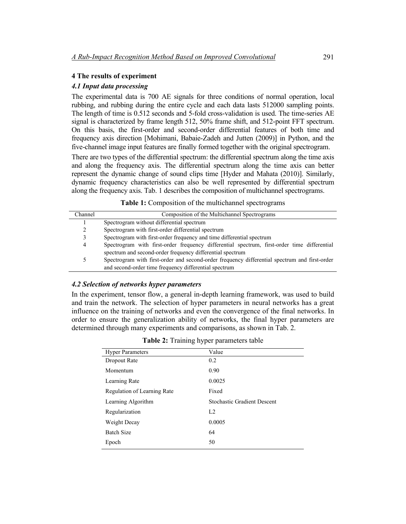# **4 The results of experiment**

### *4.1 Input data processing*

The experimental data is 700 AE signals for three conditions of normal operation, local rubbing, and rubbing during the entire cycle and each data lasts 512000 sampling points. The length of time is 0.512 seconds and 5-fold cross-validation is used. The time-series AE signal is characterized by frame length 512, 50% frame shift, and 512-point FFT spectrum. On this basis, the first-order and second-order differential features of both time and frequency axis direction [Mohimani, Babaie-Zadeh and Jutten (2009)] in Python, and the five-channel image input features are finally formed together with the original spectrogram.

There are two types of the differential spectrum: the differential spectrum along the time axis and along the frequency axis. The differential spectrum along the time axis can better represent the dynamic change of sound clips time [Hyder and Mahata (2010)]. Similarly, dynamic frequency characteristics can also be well represented by differential spectrum along the frequency axis. Tab. 1 describes the composition of multichannel spectrograms.

**Table 1:** Composition of the multichannel spectrograms

| Channel | Composition of the Multichannel Spectrograms                                                  |  |  |
|---------|-----------------------------------------------------------------------------------------------|--|--|
|         | Spectrogram without differential spectrum                                                     |  |  |
| 2       | Spectrogram with first-order differential spectrum                                            |  |  |
| 3       | Spectrogram with first-order frequency and time differential spectrum                         |  |  |
| 4       | Spectrogram with first-order frequency differential spectrum, first-order time differential   |  |  |
|         | spectrum and second-order frequency differential spectrum                                     |  |  |
|         | Spectrogram with first-order and second-order frequency differential spectrum and first-order |  |  |
|         | and second-order time frequency differential spectrum                                         |  |  |

### *4.2 Selection of networks hyper parameters*

In the experiment, tensor flow, a general in-depth learning framework, was used to build and train the network. The selection of hyper parameters in neural networks has a great influence on the training of networks and even the convergence of the final networks. In order to ensure the generalization ability of networks, the final hyper parameters are determined through many experiments and comparisons, as shown in Tab. 2.

| <b>Hyper Parameters</b>     | Value                              |  |  |
|-----------------------------|------------------------------------|--|--|
| Dropout Rate                | 0.2                                |  |  |
| Momentum                    | 0.90                               |  |  |
| Learning Rate               | 0.0025                             |  |  |
| Regulation of Learning Rate | Fixed                              |  |  |
| Learning Algorithm          | <b>Stochastic Gradient Descent</b> |  |  |
| Regularization              | L <sub>2</sub>                     |  |  |
| Weight Decay                | 0.0005                             |  |  |
| <b>Batch Size</b>           | 64                                 |  |  |
| Epoch                       | 50                                 |  |  |
|                             |                                    |  |  |

**Table 2:** Training hyper parameters table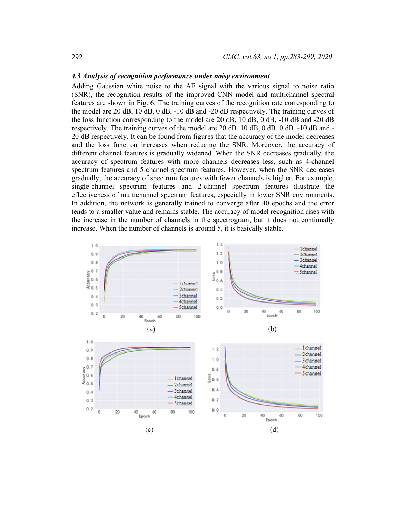## *4.3 Analysis of recognition performance under noisy environment*

Adding Gaussian white noise to the AE signal with the various signal to noise ratio (SNR), the recognition results of the improved CNN model and multichannel spectral features are shown in Fig. 6. The training curves of the recognition rate corresponding to the model are 20 dB, 10 dB, 0 dB, -10 dB and -20 dB respectively. The training curves of the loss function corresponding to the model are 20 dB, 10 dB, 0 dB, -10 dB and -20 dB respectively. The training curves of the model are 20 dB, 10 dB, 0 dB, 0 dB, -10 dB and - 20 dB respectively. It can be found from figures that the accuracy of the model decreases and the loss function increases when reducing the SNR. Moreover, the accuracy of different channel features is gradually widened. When the SNR decreases gradually, the accuracy of spectrum features with more channels decreases less, such as 4-channel spectrum features and 5-channel spectrum features. However, when the SNR decreases gradually, the accuracy of spectrum features with fewer channels is higher. For example, single-channel spectrum features and 2-channel spectrum features illustrate the effectiveness of multichannel spectrum features, especially in lower SNR environments. In addition, the network is generally trained to converge after 40 epochs and the error tends to a smaller value and remains stable. The accuracy of model recognition rises with the increase in the number of channels in the spectrogram, but it does not continually increase. When the number of channels is around 5, it is basically stable.

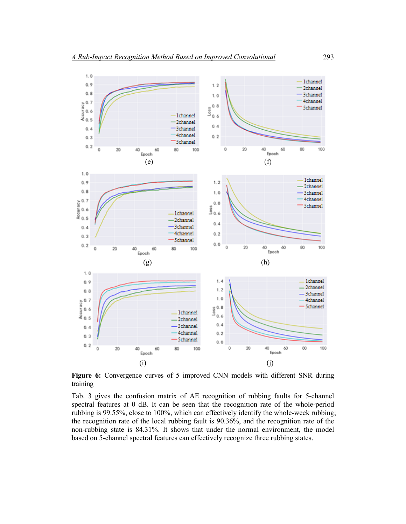

**Figure 6:** Convergence curves of 5 improved CNN models with different SNR during training

Tab. 3 gives the confusion matrix of AE recognition of rubbing faults for 5-channel spectral features at 0 dB. It can be seen that the recognition rate of the whole-period rubbing is 99.55%, close to 100%, which can effectively identify the whole-week rubbing; the recognition rate of the local rubbing fault is 90.36%, and the recognition rate of the non-rubbing state is 84.31%. It shows that under the normal environment, the model based on 5-channel spectral features can effectively recognize three rubbing states.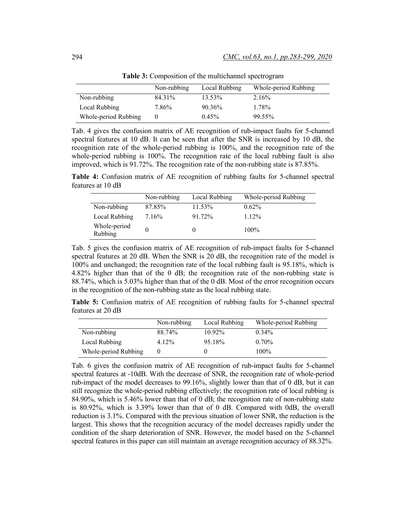|                      | Non-rubbing | Local Rubbing | Whole-period Rubbing |
|----------------------|-------------|---------------|----------------------|
| Non-rubbing          | 84 31%      | $13.53\%$     | 2.16%                |
| Local Rubbing        | 7.86%       | $90.36\%$     | 1.78%                |
| Whole-period Rubbing | $\theta$    | 0.45%         | $99.55\%$            |

**Table 3:** Composition of the multichannel spectrogram

Tab. 4 gives the confusion matrix of AE recognition of rub-impact faults for 5-channel spectral features at 10 dB. It can be seen that after the SNR is increased by 10 dB, the recognition rate of the whole-period rubbing is 100%, and the recognition rate of the whole-period rubbing is 100%. The recognition rate of the local rubbing fault is also improved, which is 91.72%. The recognition rate of the non-rubbing state is 87.85%.

**Table 4:** Confusion matrix of AE recognition of rubbing faults for 5-channel spectral features at 10 dB

|                         | Non-rubbing | Local Rubbing | Whole-period Rubbing |
|-------------------------|-------------|---------------|----------------------|
| Non-rubbing             | 87.85%      | 11.53%        | $0.62\%$             |
| Local Rubbing           | 7.16%       | 91.72%        | $1.12\%$             |
| Whole-period<br>Rubbing |             |               | $100\%$              |

Tab. 5 gives the confusion matrix of AE recognition of rub-impact faults for 5-channel spectral features at 20 dB. When the SNR is 20 dB, the recognition rate of the model is 100% and unchanged; the recognition rate of the local rubbing fault is 95.18%, which is 4.82% higher than that of the 0 dB; the recognition rate of the non-rubbing state is 88.74%, which is 5.03% higher than that of the 0 dB. Most of the error recognition occurs in the recognition of the non-rubbing state as the local rubbing state.

**Table 5:** Confusion matrix of AE recognition of rubbing faults for 5-channel spectral features at 20 dB

|                      | Non-rubbing | Local Rubbing | Whole-period Rubbing |
|----------------------|-------------|---------------|----------------------|
| Non-rubbing          | 88 74%      | $1092\%$      | $0.34\%$             |
| Local Rubbing        | 4.12%       | 95.18%        | $0.70\%$             |
| Whole-period Rubbing |             |               | $100\%$              |

Tab. 6 gives the confusion matrix of AE recognition of rub-impact faults for 5-channel spectral features at -10dB. With the decrease of SNR, the recognition rate of whole-period rub-impact of the model decreases to 99.16%, slightly lower than that of 0 dB, but it can still recognize the whole-period rubbing effectively; the recognition rate of local rubbing is 84.90%, which is 5.46% lower than that of 0 dB; the recognition rate of non-rubbing state is 80.92%, which is 3.39% lower than that of 0 dB. Compared with 0dB, the overall reduction is 3.1%. Compared with the previous situation of lower SNR, the reduction is the largest. This shows that the recognition accuracy of the model decreases rapidly under the condition of the sharp deterioration of SNR. However, the model based on the 5-channel spectral features in this paper can still maintain an average recognition accuracy of 88.32%.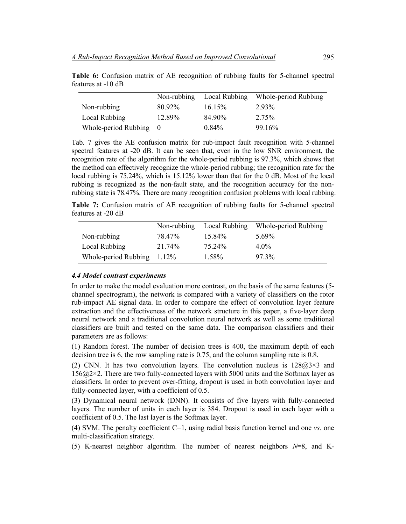|                      | Non-rubbing | Local Rubbing | Whole-period Rubbing |
|----------------------|-------------|---------------|----------------------|
| Non-rubbing          | 80.92%      | $16.15\%$     | 293%                 |
| Local Rubbing        | 12.89%      | 84 90%        | 2.75%                |
| Whole-period Rubbing | $\bigcirc$  | $0.84\%$      | 9916%                |

**Table 6:** Confusion matrix of AE recognition of rubbing faults for 5-channel spectral features at -10 dB

Tab. 7 gives the AE confusion matrix for rub-impact fault recognition with 5-channel spectral features at -20 dB. It can be seen that, even in the low SNR environment, the recognition rate of the algorithm for the whole-period rubbing is 97.3%, which shows that the method can effectively recognize the whole-period rubbing; the recognition rate for the local rubbing is 75.24%, which is 15.12% lower than that for the 0 dB. Most of the local rubbing is recognized as the non-fault state, and the recognition accuracy for the nonrubbing state is 78.47%. There are many recognition confusion problems with local rubbing.

**Table 7:** Confusion matrix of AE recognition of rubbing faults for 5-channel spectral features at -20 dB

|                      | Non-rubbing | Local Rubbing | Whole-period Rubbing |
|----------------------|-------------|---------------|----------------------|
| Non-rubbing          | 78.47%      | $15.84\%$     | 5.69%                |
| Local Rubbing        | 21.74%      | 75 24%        | $4.0\%$              |
| Whole-period Rubbing | $1.12\%$    | 1.58%         | $97.3\%$             |

### *4.4 Model contrast experiments*

In order to make the model evaluation more contrast, on the basis of the same features (5 channel spectrogram), the network is compared with a variety of classifiers on the rotor rub-impact AE signal data. In order to compare the effect of convolution layer feature extraction and the effectiveness of the network structure in this paper, a five-layer deep neural network and a traditional convolution neural network as well as some traditional classifiers are built and tested on the same data. The comparison classifiers and their parameters are as follows:

(1) Random forest. The number of decision trees is 400, the maximum depth of each decision tree is 6, the row sampling rate is 0.75, and the column sampling rate is 0.8.

(2) CNN. It has two convolution layers. The convolution nucleus is  $128@3\times3$  and 156@2×2. There are two fully-connected layers with 5000 units and the Softmax layer as classifiers. In order to prevent over-fitting, dropout is used in both convolution layer and fully-connected layer, with a coefficient of 0.5.

(3) Dynamical neural network (DNN). It consists of five layers with fully-connected layers. The number of units in each layer is 384. Dropout is used in each layer with a coefficient of 0.5. The last layer is the Softmax layer.

(4) SVM. The penalty coefficient C=1, using radial basis function kernel and one *vs.* one multi-classification strategy.

(5) K-nearest neighbor algorithm. The number of nearest neighbors *N*=8, and K-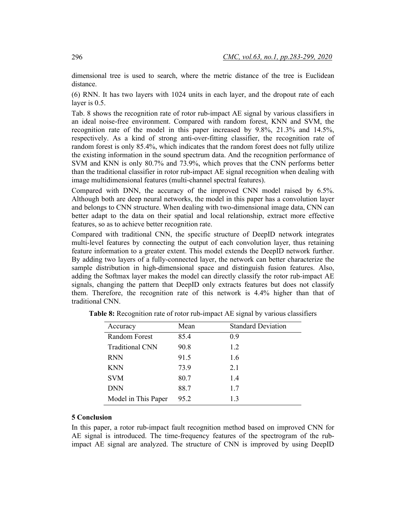dimensional tree is used to search, where the metric distance of the tree is Euclidean distance.

(6) RNN. It has two layers with 1024 units in each layer, and the dropout rate of each layer is 0.5.

Tab. 8 shows the recognition rate of rotor rub-impact AE signal by various classifiers in an ideal noise-free environment. Compared with random forest, KNN and SVM, the recognition rate of the model in this paper increased by 9.8%, 21.3% and 14.5%, respectively. As a kind of strong anti-over-fitting classifier, the recognition rate of random forest is only 85.4%, which indicates that the random forest does not fully utilize the existing information in the sound spectrum data. And the recognition performance of SVM and KNN is only 80.7% and 73.9%, which proves that the CNN performs better than the traditional classifier in rotor rub-impact AE signal recognition when dealing with image multidimensional features (multi-channel spectral features).

Compared with DNN, the accuracy of the improved CNN model raised by 6.5%. Although both are deep neural networks, the model in this paper has a convolution layer and belongs to CNN structure. When dealing with two-dimensional image data, CNN can better adapt to the data on their spatial and local relationship, extract more effective features, so as to achieve better recognition rate.

Compared with traditional CNN, the specific structure of DeepID network integrates multi-level features by connecting the output of each convolution layer, thus retaining feature information to a greater extent. This model extends the DeepID network further. By adding two layers of a fully-connected layer, the network can better characterize the sample distribution in high-dimensional space and distinguish fusion features. Also, adding the Softmax layer makes the model can directly classify the rotor rub-impact AE signals, changing the pattern that DeepID only extracts features but does not classify them. Therefore, the recognition rate of this network is 4.4% higher than that of traditional CNN.

| Accuracy               | Mean | <b>Standard Deviation</b> |
|------------------------|------|---------------------------|
| Random Forest          | 85.4 | 0.9                       |
| <b>Traditional CNN</b> | 90.8 | 1.2                       |
| <b>RNN</b>             | 91.5 | 1.6                       |
| <b>KNN</b>             | 73.9 | 2.1                       |
| <b>SVM</b>             | 80.7 | 1.4                       |
| <b>DNN</b>             | 88.7 | 1.7                       |
| Model in This Paper    | 952  | 1.3                       |

**Table 8:** Recognition rate of rotor rub-impact AE signal by various classifiers

### **5 Conclusion**

In this paper, a rotor rub-impact fault recognition method based on improved CNN for AE signal is introduced. The time-frequency features of the spectrogram of the rubimpact AE signal are analyzed. The structure of CNN is improved by using DeepID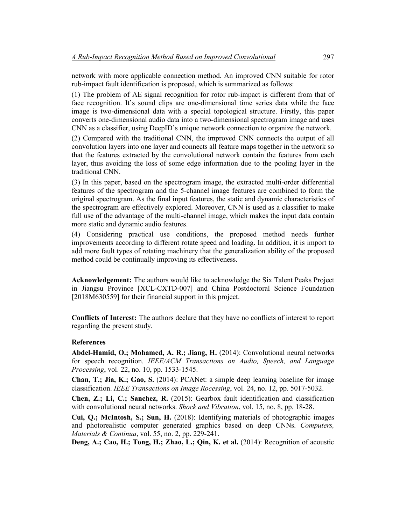network with more applicable connection method. An improved CNN suitable for rotor rub-impact fault identification is proposed, which is summarized as follows:

(1) The problem of AE signal recognition for rotor rub-impact is different from that of face recognition. It's sound clips are one-dimensional time series data while the face image is two-dimensional data with a special topological structure. Firstly, this paper converts one-dimensional audio data into a two-dimensional spectrogram image and uses CNN as a classifier, using DeepID's unique network connection to organize the network.

(2) Compared with the traditional CNN, the improved CNN connects the output of all convolution layers into one layer and connects all feature maps together in the network so that the features extracted by the convolutional network contain the features from each layer, thus avoiding the loss of some edge information due to the pooling layer in the traditional CNN.

(3) In this paper, based on the spectrogram image, the extracted multi-order differential features of the spectrogram and the 5-channel image features are combined to form the original spectrogram. As the final input features, the static and dynamic characteristics of the spectrogram are effectively explored. Moreover, CNN is used as a classifier to make full use of the advantage of the multi-channel image, which makes the input data contain more static and dynamic audio features.

(4) Considering practical use conditions, the proposed method needs further improvements according to different rotate speed and loading. In addition, it is import to add more fault types of rotating machinery that the generalization ability of the proposed method could be continually improving its effectiveness.

**Acknowledgement:** The authors would like to acknowledge the Six Talent Peaks Project in Jiangsu Province [XCL-CXTD-007] and China Postdoctoral Science Foundation [2018M630559] for their financial support in this project.

**Conflicts of Interest:** The authors declare that they have no conflicts of interest to report regarding the present study.

### **References**

**Abdel-Hamid, O.; Mohamed, A. R.; Jiang, H.** (2014): Convolutional neural networks for speech recognition. *IEEE/ACM Transactions on Audio, Speech, and Language Processing*, vol. 22, no. 10, pp. 1533-1545.

**Chan, T.; Jia, K.; Gao, S.** (2014): PCANet: a simple deep learning baseline for image classification. *IEEE Transactions on Image Rocessing*, vol. 24, no. 12, pp. 5017-5032.

**Chen, Z.; Li, C.; Sanchez, R.** (2015): Gearbox fault identification and classification with convolutional neural networks. *Shock and Vibration*, vol. 15, no. 8, pp. 18-28.

**Cui, Q.; McIntosh, S.; Sun, H.** (2018): Identifying materials of photographic images and photorealistic computer generated graphics based on deep CNNs. *Computers, Materials & Continua*, vol. 55, no. 2, pp. 229-241.

**Deng, A.; Cao, H.; Tong, H.; Zhao, L.; Qin, K. et al.** (2014): Recognition of acoustic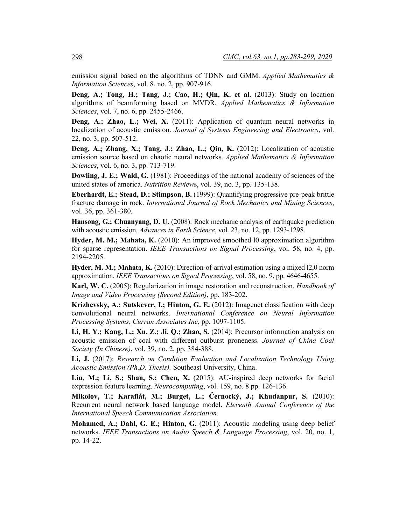emission signal based on the algorithms of TDNN and GMM. *Applied Mathematics & Information Sciences*, vol. 8, no. 2, pp. 907-916.

**Deng, A.; Tong, H.; Tang, J.; Cao, H.; Qin, K. et al.** (2013): Study on location algorithms of beamforming based on MVDR. *Applied Mathematics & Information Sciences*, vol. 7, no. 6, pp. 2455-2466.

**Deng, A.; Zhao, L.; Wei, X.** (2011): Application of quantum neural networks in localization of acoustic emission. *Journal of Systems Engineering and Electronics*, vol. 22, no. 3, pp. 507-512.

**Deng, A.; Zhang, X.; Tang, J.; Zhao, L.; Qin, K.** (2012): Localization of acoustic emission source based on chaotic neural networks. *Applied Mathematics & Information Sciences*, vol. 6, no. 3, pp. 713-719.

**Dowling, J. E.; Wald, G.** (1981): Proceedings of the national academy of sciences of the united states of america. *Nutrition Review*s, vol. 39, no. 3, pp. 135-138.

**Eberhardt, E.; Stead, D.; Stimpson, B.** (1999): Quantifying progressive pre-peak brittle fracture damage in rock. *International Journal of Rock Mechanics and Mining Sciences*, vol. 36, pp. 361-380.

**Hansong, G.; Chuanyang, D. U.** (2008): Rock mechanic analysis of earthquake prediction with acoustic emission. *Advances in Earth Science*, vol. 23, no. 12, pp. 1293-1298.

**Hyder, M. M.; Mahata, K.** (2010): An improved smoothed l0 approximation algorithm for sparse representation. *IEEE Transactions on Signal Processing*, vol. 58, no. 4, pp. 2194-2205.

**Hyder, M. M.; Mahata, K.** (2010): Direction-of-arrival estimation using a mixed l2,0 norm approximation. *IEEE Transactions on Signal Processing*, vol. 58, no. 9, pp. 4646-4655.

**Karl, W. C.** (2005): Regularization in image restoration and reconstruction. *Handbook of Image and Video Processing (Second Edition)*, pp. 183-202.

**Krizhevsky, A.; Sutskever, I.; Hinton, G. E.** (2012): Imagenet classification with deep convolutional neural networks. *International Conference on Neural Information Processing Systems*, *Curran Associates Inc*, pp. 1097-1105.

**Li, H. Y.; Kang, L.; Xu, Z.; Ji, Q.; Zhao, S.** (2014): Precursor information analysis on acoustic emission of coal with different outburst proneness. *Journal of China Coal Society (In Chinese)*, vol. 39, no. 2, pp. 384-388.

**Li, J.** (2017): *Research on Condition Evaluation and Localization Technology Using Acoustic Emission (Ph.D. Thesis).* Southeast University, China.

**Liu, M.; Li, S.; Shan, S.; Chen, X.** (2015): AU-inspired deep networks for facial expression feature learning. *Neurocomputing*, vol. 159, no. 8 pp. 126-136.

**Mikolov, T.; Karafiát, M.; Burget, L.; Černocký, J.; Khudanpur, S.** (2010): Recurrent neural network based language model. *Eleventh Annual Conference of the International Speech Communication Association*.

**Mohamed, A.; Dahl, G. E.; Hinton, G.** (2011): Acoustic modeling using deep belief networks. *IEEE Transactions on Audio Speech & Language Processing*, vol. 20, no. 1, pp. 14-22.